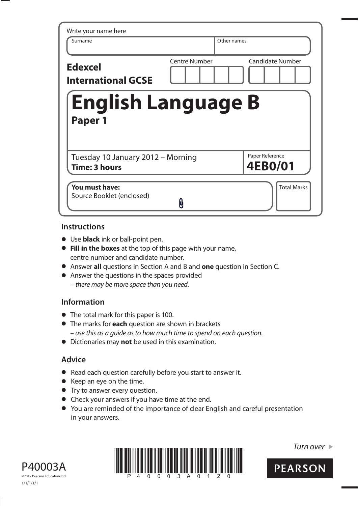| Surname                                            | Other names          |                            |
|----------------------------------------------------|----------------------|----------------------------|
|                                                    | <b>Centre Number</b> | <b>Candidate Number</b>    |
| <b>Edexcel</b><br><b>International GCSE</b>        |                      |                            |
| <b>English Language B</b>                          |                      |                            |
|                                                    |                      |                            |
| Paper 1                                            |                      |                            |
|                                                    |                      |                            |
| Tuesday 10 January 2012 - Morning<br>Time: 3 hours |                      | Paper Reference<br>4EB0/01 |

## **Instructions**

- **t** Use **black** ink or ball-point pen.
- **Fill in the boxes** at the top of this page with your name, centre number and candidate number.
- **t** Answer **all** questions in Section A and B and **one** question in Section C.
- **•** Answer the questions in the spaces provided – there may be more space than you need.

## **Information**

- **•** The total mark for this paper is 100.
- **•** The marks for **each** question are shown in brackets – use this as a guide as to how much time to spend on each question.
- **t** Dictionaries may **not** be used in this examination.

## **Advice**

- **t** Read each question carefully before you start to answer it.
- **t** Keep an eye on the time.
- **•** Try to answer every question.
- **•** Check your answers if you have time at the end.
- **t** You are reminded of the importance of clear English and careful presentation in your answers.





Turn over  $\blacktriangleright$ 

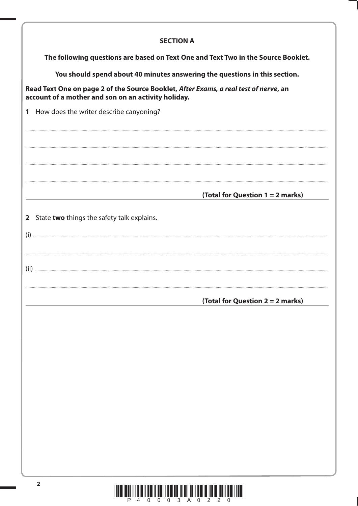| <b>SECTION A</b>                                                                                                                            |  |  |  |  |  |  |  |  |  |
|---------------------------------------------------------------------------------------------------------------------------------------------|--|--|--|--|--|--|--|--|--|
| The following questions are based on Text One and Text Two in the Source Booklet.                                                           |  |  |  |  |  |  |  |  |  |
| You should spend about 40 minutes answering the questions in this section.                                                                  |  |  |  |  |  |  |  |  |  |
| Read Text One on page 2 of the Source Booklet, After Exams, a real test of nerve, an<br>account of a mother and son on an activity holiday. |  |  |  |  |  |  |  |  |  |
| 1 How does the writer describe canyoning?                                                                                                   |  |  |  |  |  |  |  |  |  |
|                                                                                                                                             |  |  |  |  |  |  |  |  |  |
|                                                                                                                                             |  |  |  |  |  |  |  |  |  |
|                                                                                                                                             |  |  |  |  |  |  |  |  |  |
| (Total for Question 1 = 2 marks)                                                                                                            |  |  |  |  |  |  |  |  |  |
| 2 State two things the safety talk explains.                                                                                                |  |  |  |  |  |  |  |  |  |
|                                                                                                                                             |  |  |  |  |  |  |  |  |  |
|                                                                                                                                             |  |  |  |  |  |  |  |  |  |
| (ii)                                                                                                                                        |  |  |  |  |  |  |  |  |  |
|                                                                                                                                             |  |  |  |  |  |  |  |  |  |
| (Total for Question 2 = 2 marks)                                                                                                            |  |  |  |  |  |  |  |  |  |
|                                                                                                                                             |  |  |  |  |  |  |  |  |  |
|                                                                                                                                             |  |  |  |  |  |  |  |  |  |
|                                                                                                                                             |  |  |  |  |  |  |  |  |  |
|                                                                                                                                             |  |  |  |  |  |  |  |  |  |
|                                                                                                                                             |  |  |  |  |  |  |  |  |  |
|                                                                                                                                             |  |  |  |  |  |  |  |  |  |
|                                                                                                                                             |  |  |  |  |  |  |  |  |  |
|                                                                                                                                             |  |  |  |  |  |  |  |  |  |
|                                                                                                                                             |  |  |  |  |  |  |  |  |  |
| $\overline{\mathbf{2}}$                                                                                                                     |  |  |  |  |  |  |  |  |  |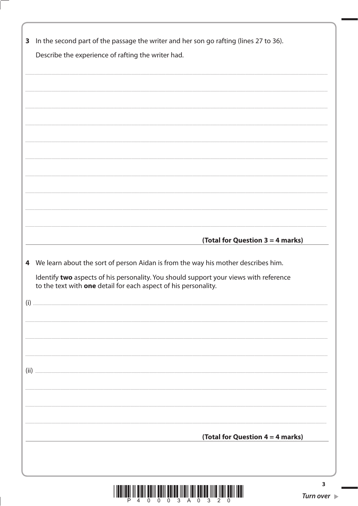| 3    | In the second part of the passage the writer and her son go rafting (lines 27 to 36).                                                                    |
|------|----------------------------------------------------------------------------------------------------------------------------------------------------------|
|      | Describe the experience of rafting the writer had.                                                                                                       |
|      |                                                                                                                                                          |
|      |                                                                                                                                                          |
|      |                                                                                                                                                          |
|      |                                                                                                                                                          |
|      |                                                                                                                                                          |
|      |                                                                                                                                                          |
|      |                                                                                                                                                          |
|      |                                                                                                                                                          |
|      |                                                                                                                                                          |
|      |                                                                                                                                                          |
|      |                                                                                                                                                          |
|      |                                                                                                                                                          |
|      | (Total for Question $3 = 4$ marks)                                                                                                                       |
|      |                                                                                                                                                          |
| 4    | We learn about the sort of person Aidan is from the way his mother describes him.                                                                        |
|      | Identify two aspects of his personality. You should support your views with reference<br>to the text with one detail for each aspect of his personality. |
| (i)  |                                                                                                                                                          |
|      |                                                                                                                                                          |
|      |                                                                                                                                                          |
|      |                                                                                                                                                          |
|      |                                                                                                                                                          |
| (ii) |                                                                                                                                                          |
|      |                                                                                                                                                          |
|      |                                                                                                                                                          |
|      |                                                                                                                                                          |
|      | (Total for Question 4 = 4 marks)                                                                                                                         |
|      |                                                                                                                                                          |

-



 $\overline{\mathbf{3}}$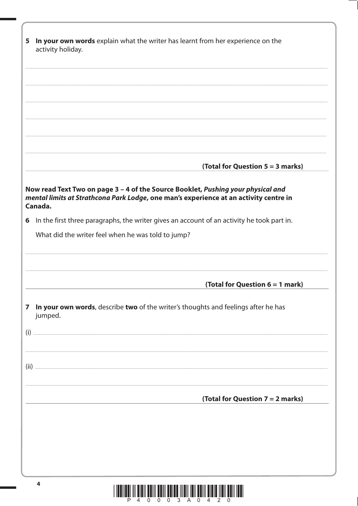|                                                                                                                                                                                      |   | activity holiday.                  |
|--------------------------------------------------------------------------------------------------------------------------------------------------------------------------------------|---|------------------------------------|
| What did the writer feel when he was told to jump?<br>In your own words, describe two of the writer's thoughts and feelings after he has<br>jumped.                                  |   |                                    |
| In the first three paragraphs, the writer gives an account of an activity he took part in.                                                                                           |   |                                    |
|                                                                                                                                                                                      |   |                                    |
|                                                                                                                                                                                      |   |                                    |
| Now read Text Two on page 3 - 4 of the Source Booklet, Pushing your physical and<br>mental limits at Strathcona Park Lodge, one man's experience at an activity centre in<br>Canada. |   |                                    |
|                                                                                                                                                                                      |   | (Total for Question $5 = 3$ marks) |
|                                                                                                                                                                                      |   |                                    |
|                                                                                                                                                                                      | 6 |                                    |
|                                                                                                                                                                                      |   |                                    |
|                                                                                                                                                                                      |   |                                    |
|                                                                                                                                                                                      |   | (Total for Question $6 = 1$ mark)  |
|                                                                                                                                                                                      | 7 |                                    |
|                                                                                                                                                                                      |   |                                    |
|                                                                                                                                                                                      |   |                                    |
|                                                                                                                                                                                      |   |                                    |
|                                                                                                                                                                                      |   |                                    |
|                                                                                                                                                                                      |   | (Total for Question 7 = 2 marks)   |
|                                                                                                                                                                                      |   |                                    |
|                                                                                                                                                                                      |   |                                    |
|                                                                                                                                                                                      |   |                                    |
|                                                                                                                                                                                      |   |                                    |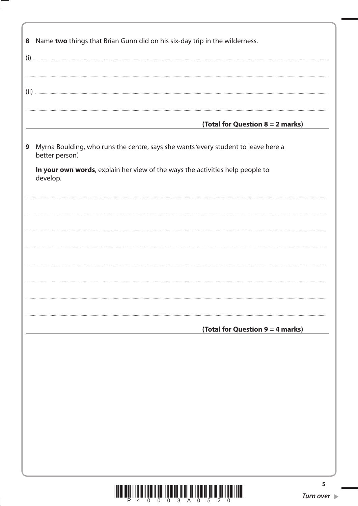|   | 8 Name two things that Brian Gunn did on his six-day trip in the wilderness.                          |   |
|---|-------------------------------------------------------------------------------------------------------|---|
|   |                                                                                                       |   |
|   |                                                                                                       |   |
|   | (Total for Question 8 = 2 marks)                                                                      |   |
|   |                                                                                                       |   |
| 9 | Myrna Boulding, who runs the centre, says she wants 'every student to leave here a<br>better person'. |   |
|   | In your own words, explain her view of the ways the activities help people to<br>develop.             |   |
|   |                                                                                                       |   |
|   |                                                                                                       |   |
|   |                                                                                                       |   |
|   |                                                                                                       |   |
|   |                                                                                                       |   |
|   |                                                                                                       |   |
|   | (Total for Question 9 = 4 marks)                                                                      |   |
|   |                                                                                                       |   |
|   |                                                                                                       |   |
|   |                                                                                                       |   |
|   |                                                                                                       |   |
|   |                                                                                                       |   |
|   |                                                                                                       |   |
|   |                                                                                                       | 5 |

-

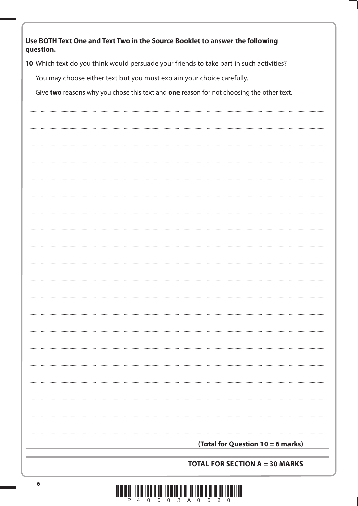| (Total for Question 10 = 6 marks)     |
|---------------------------------------|
| <b>TOTAL FOR SECTION A = 30 MARKS</b> |
|                                       |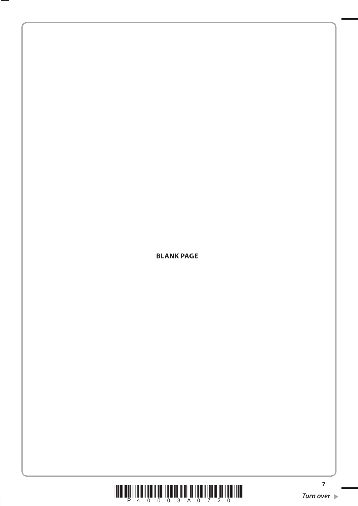

**BLANK PAGE**

-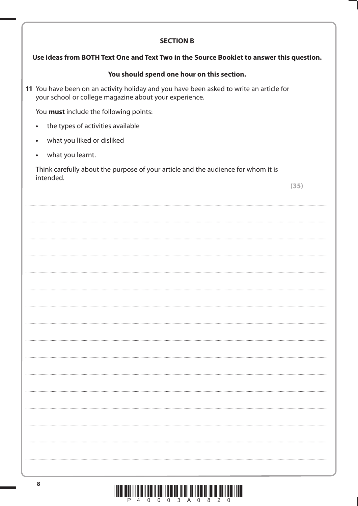| <b>SECTION B</b>                                                                                                                                  |      |  |  |  |  |  |  |  |  |
|---------------------------------------------------------------------------------------------------------------------------------------------------|------|--|--|--|--|--|--|--|--|
| Use ideas from BOTH Text One and Text Two in the Source Booklet to answer this question.                                                          |      |  |  |  |  |  |  |  |  |
| You should spend one hour on this section.                                                                                                        |      |  |  |  |  |  |  |  |  |
| 11 You have been on an activity holiday and you have been asked to write an article for<br>your school or college magazine about your experience. |      |  |  |  |  |  |  |  |  |
| You must include the following points:                                                                                                            |      |  |  |  |  |  |  |  |  |
| the types of activities available<br>$\bullet$                                                                                                    |      |  |  |  |  |  |  |  |  |
| what you liked or disliked<br>$\bullet$                                                                                                           |      |  |  |  |  |  |  |  |  |
| what you learnt.<br>$\bullet$                                                                                                                     |      |  |  |  |  |  |  |  |  |
| Think carefully about the purpose of your article and the audience for whom it is                                                                 |      |  |  |  |  |  |  |  |  |
| intended.                                                                                                                                         | (35) |  |  |  |  |  |  |  |  |
|                                                                                                                                                   |      |  |  |  |  |  |  |  |  |
|                                                                                                                                                   |      |  |  |  |  |  |  |  |  |
|                                                                                                                                                   |      |  |  |  |  |  |  |  |  |
|                                                                                                                                                   |      |  |  |  |  |  |  |  |  |
|                                                                                                                                                   |      |  |  |  |  |  |  |  |  |
|                                                                                                                                                   |      |  |  |  |  |  |  |  |  |
|                                                                                                                                                   |      |  |  |  |  |  |  |  |  |
|                                                                                                                                                   |      |  |  |  |  |  |  |  |  |
|                                                                                                                                                   |      |  |  |  |  |  |  |  |  |
|                                                                                                                                                   |      |  |  |  |  |  |  |  |  |
|                                                                                                                                                   |      |  |  |  |  |  |  |  |  |
|                                                                                                                                                   |      |  |  |  |  |  |  |  |  |
|                                                                                                                                                   |      |  |  |  |  |  |  |  |  |
|                                                                                                                                                   |      |  |  |  |  |  |  |  |  |
|                                                                                                                                                   |      |  |  |  |  |  |  |  |  |
|                                                                                                                                                   |      |  |  |  |  |  |  |  |  |
|                                                                                                                                                   |      |  |  |  |  |  |  |  |  |
|                                                                                                                                                   |      |  |  |  |  |  |  |  |  |
|                                                                                                                                                   |      |  |  |  |  |  |  |  |  |
|                                                                                                                                                   |      |  |  |  |  |  |  |  |  |
|                                                                                                                                                   |      |  |  |  |  |  |  |  |  |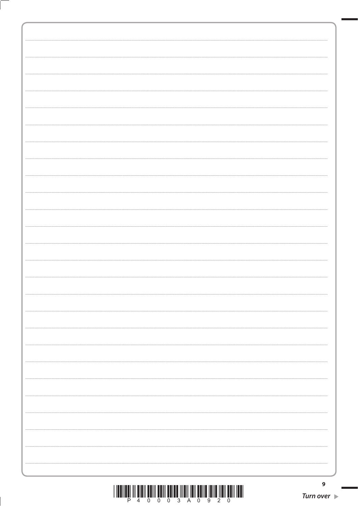| <u> I III AN DI III AN DI III AN DI III AN DI III AN DI III AN DI III AN DI III AN DI III AN DI III AN DI III AN D</u> |  |                       |  |  |  |  |
|------------------------------------------------------------------------------------------------------------------------|--|-----------------------|--|--|--|--|
|                                                                                                                        |  | P 4 0 0 0 3 A 0 9 2 0 |  |  |  |  |

 $\dddotsc$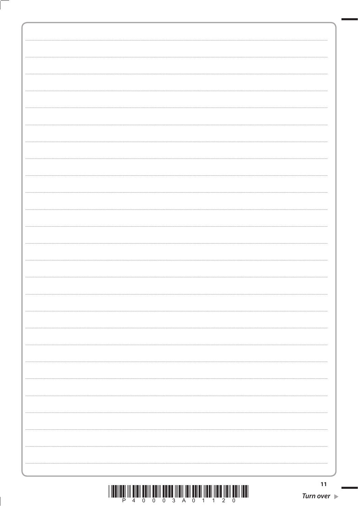|  | <u> III AN DI MARINI DIN BINA BILI MANJI MARINI MANJI MANJI MANJI MANJI MANJI MANJI MANJI MANJI MANJI MANJI MANJI </u> |  |  |  |  |  |  |
|--|------------------------------------------------------------------------------------------------------------------------|--|--|--|--|--|--|
|  | P 4 0 0 0 3 A 0 1 1 2 0                                                                                                |  |  |  |  |  |  |

 $\dddotsc$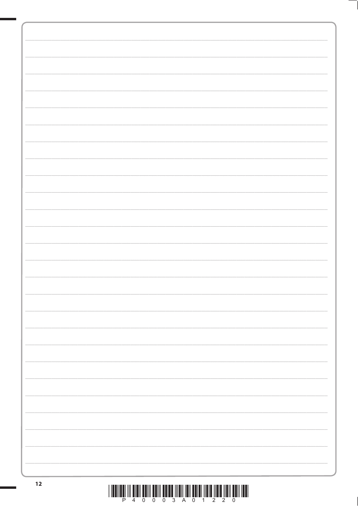| 12 |  |
|----|--|

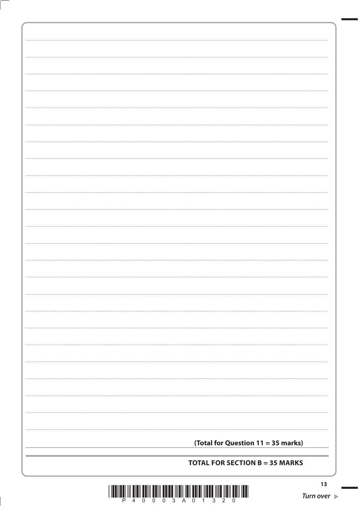

 $13$ 

| (Total for Question 11 = 35 marks)    |
|---------------------------------------|
|                                       |
| <b>TOTAL FOR SECTION B = 35 MARKS</b> |
|                                       |

–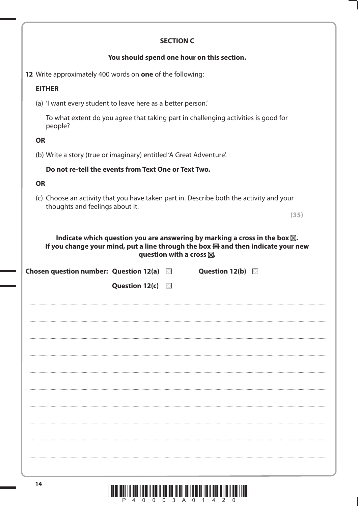| <b>SECTION C</b>                                                                              |  |
|-----------------------------------------------------------------------------------------------|--|
| You should spend one hour on this section.                                                    |  |
| <b>12</b> Write approximately 400 words on <b>one</b> of the following:                       |  |
| <b>EITHER</b>                                                                                 |  |
| (a) 'I want every student to leave here as a better person.'                                  |  |
| To what extent do you agree that taking part in challenging activities is good for<br>people? |  |
| <b>OR</b>                                                                                     |  |
| (b) Write a story (true or imaginary) entitled 'A Great Adventure'.                           |  |
| Do not re-tell the events from Text One or Text Two.                                          |  |
| <b>OR</b>                                                                                     |  |
| (c) Choose an activity that you have taken part in. Describe both the activity and your       |  |
| thoughts and feelings about it.<br>(35)                                                       |  |
| Chosen question number: Question 12(a) $\boxtimes$<br>Question 12(b) $\Box$                   |  |
| question with a cross $\boxtimes$ .                                                           |  |
| Question 12(c)<br>$\mathbb{X}$                                                                |  |
|                                                                                               |  |
|                                                                                               |  |
|                                                                                               |  |
|                                                                                               |  |
|                                                                                               |  |
|                                                                                               |  |
|                                                                                               |  |
|                                                                                               |  |
|                                                                                               |  |
|                                                                                               |  |
|                                                                                               |  |
|                                                                                               |  |
|                                                                                               |  |

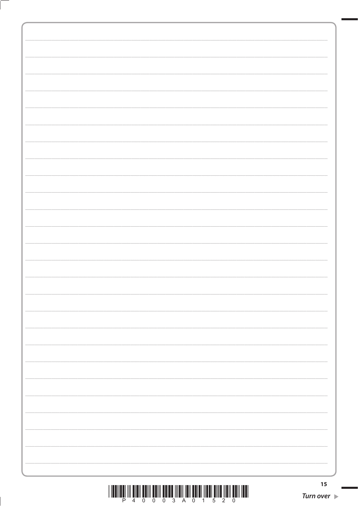|  |  | P 4 0 0 0 3 A 0 1 5 2 0 |  |  |  |  |
|--|--|-------------------------|--|--|--|--|

 $\dddotsc$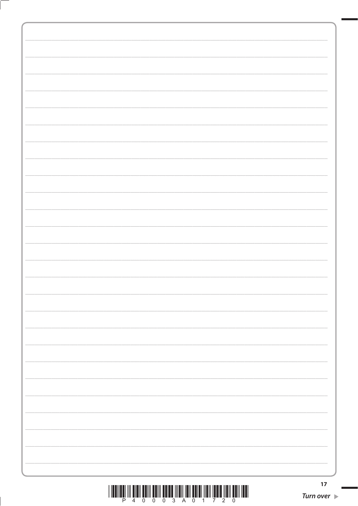| I ITALIAN III DIDII BOIH DOMENI DIDII III DOMEN III DIDII III DOMEN |  |  |                         |  |  |  |
|---------------------------------------------------------------------|--|--|-------------------------|--|--|--|
|                                                                     |  |  | P 4 0 0 0 3 A 0 1 7 2 0 |  |  |  |

| 17 |
|----|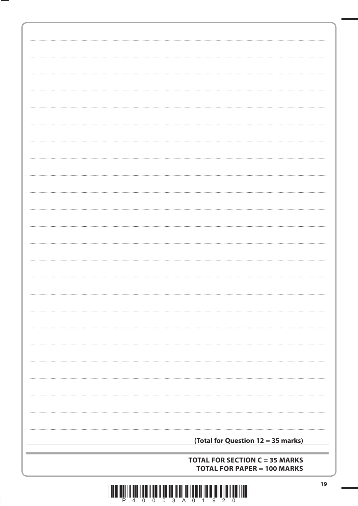| (Total for Question 12 = 35 marks)                                          |
|-----------------------------------------------------------------------------|
| <b>TOTAL FOR SECTION C = 35 MARKS</b><br><b>TOTAL FOR PAPER = 100 MARKS</b> |

–